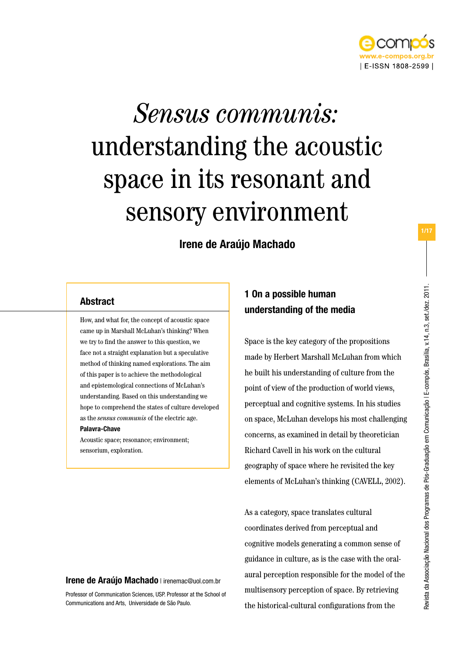

# *Sensus communis:* understanding the acoustic space in its resonant and sensory environment

Irene de Araújo Machado

## Abstract

How, and what for, the concept of acoustic space came up in Marshall McLuhan's thinking? When we try to find the answer to this question, we face not a straight explanation but a speculative method of thinking named explorations. The aim of this paper is to achieve the methodological and epistemological connections of McLuhan's understanding. Based on this understanding we hope to comprehend the states of culture developed as the *sensus communis* of the electric age. Palavra-Chave

Acoustic space; resonance; environment; sensorium, exploration.

# 1 On a possible human understanding of the media

Space is the key category of the propositions made by Herbert Marshall McLuhan from which he built his understanding of culture from the point of view of the production of world views, perceptual and cognitive systems. In his studies on space, McLuhan develops his most challenging concerns, as examined in detail by theoretician Richard Cavell in his work on the cultural geography of space where he revisited the key elements of McLuhan's thinking (CAVELL, 2002).

As a category, space translates cultural coordinates derived from perceptual and cognitive models generating a common sense of guidance in culture, as is the case with the oralaural perception responsible for the model of the multisensory perception of space. By retrieving the historical-cultural configurations from the

#### Irene de Araújo Machado | irenemac@uol.com.br

Professor of Communication Sciences, USP. Professor at the School of Communications and Arts, Universidade de São Paulo.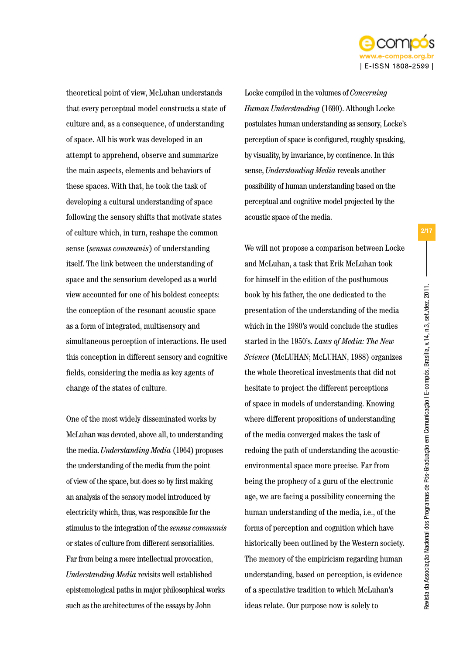

theoretical point of view, McLuhan understands that every perceptual model constructs a state of culture and, as a consequence, of understanding of space. All his work was developed in an attempt to apprehend, observe and summarize the main aspects, elements and behaviors of these spaces. With that, he took the task of developing a cultural understanding of space following the sensory shifts that motivate states of culture which, in turn, reshape the common sense (*sensus communis*) of understanding itself. The link between the understanding of space and the sensorium developed as a world view accounted for one of his boldest concepts: the conception of the resonant acoustic space as a form of integrated, multisensory and simultaneous perception of interactions. He used this conception in different sensory and cognitive fields, considering the media as key agents of change of the states of culture.

One of the most widely disseminated works by McLuhan was devoted, above all, to understanding the media. *Understanding Media* (1964) proposes the understanding of the media from the point of view of the space, but does so by first making an analysis of the sensory model introduced by electricity which, thus, was responsible for the stimulus to the integration of the *sensus communis* or states of culture from different sensorialities. Far from being a mere intellectual provocation, *Understanding Media* revisits well established epistemological paths in major philosophical works such as the architectures of the essays by John

Locke compiled in the volumes of *Concerning Human Understanding* (1690). Although Locke postulates human understanding as sensory, Locke's perception of space is configured, roughly speaking, by visuality, by invariance, by continence. In this sense, *Understanding Media* reveals another possibility of human understanding based on the perceptual and cognitive model projected by the acoustic space of the media.

We will not propose a comparison between Locke and McLuhan, a task that Erik McLuhan took for himself in the edition of the posthumous book by his father, the one dedicated to the presentation of the understanding of the media which in the 1980's would conclude the studies started in the 1950's. *Laws of Media: The New Science* (McLUHAN; McLUHAN, 1988) organizes the whole theoretical investments that did not hesitate to project the different perceptions of space in models of understanding. Knowing where different propositions of understanding of the media converged makes the task of redoing the path of understanding the acousticenvironmental space more precise. Far from being the prophecy of a guru of the electronic age, we are facing a possibility concerning the human understanding of the media, i.e., of the forms of perception and cognition which have historically been outlined by the Western society. The memory of the empiricism regarding human understanding, based on perception, is evidence of a speculative tradition to which McLuhan's ideas relate. Our purpose now is solely to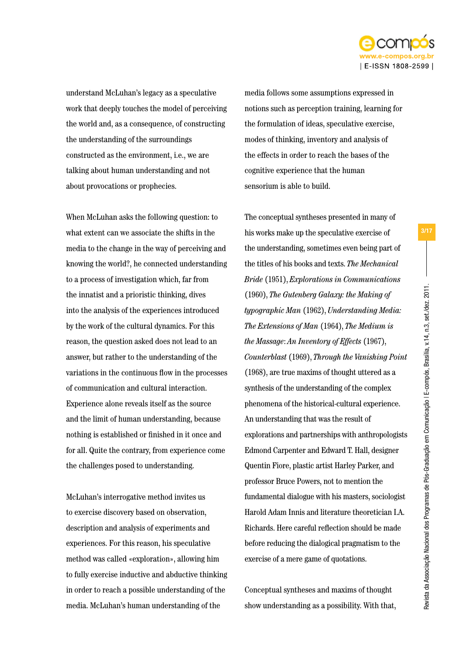

understand McLuhan's legacy as a speculative work that deeply touches the model of perceiving the world and, as a consequence, of constructing the understanding of the surroundings constructed as the environment, i.e., we are talking about human understanding and not about provocations or prophecies.

When McLuhan asks the following question: to what extent can we associate the shifts in the media to the change in the way of perceiving and knowing the world?, he connected understanding to a process of investigation which, far from the innatist and a prioristic thinking, dives into the analysis of the experiences introduced by the work of the cultural dynamics. For this reason, the question asked does not lead to an answer, but rather to the understanding of the variations in the continuous flow in the processes of communication and cultural interaction. Experience alone reveals itself as the source and the limit of human understanding, because nothing is established or finished in it once and for all. Quite the contrary, from experience come the challenges posed to understanding.

McLuhan's interrogative method invites us to exercise discovery based on observation, description and analysis of experiments and experiences. For this reason, his speculative method was called «exploration», allowing him to fully exercise inductive and abductive thinking in order to reach a possible understanding of the media. McLuhan's human understanding of the

media follows some assumptions expressed in notions such as perception training, learning for the formulation of ideas, speculative exercise, modes of thinking, inventory and analysis of the effects in order to reach the bases of the cognitive experience that the human sensorium is able to build.

The conceptual syntheses presented in many of his works make up the speculative exercise of the understanding, sometimes even being part of the titles of his books and texts. *The Mechanical Bride* (1951), *Explorations in Communications*  (1960), *The Gutenberg Galaxy: the Making of typographic Man* (1962), *Understanding Media: The Extensions of Man* (1964), *The Medium is the Massage*: *An Inventory of Effects* (1967), *Counterblast* (1969), *Through the Vanishing Point*  (1968), are true maxims of thought uttered as a synthesis of the understanding of the complex phenomena of the historical-cultural experience. An understanding that was the result of explorations and partnerships with anthropologists Edmond Carpenter and Edward T. Hall, designer Quentin Fiore, plastic artist Harley Parker, and professor Bruce Powers, not to mention the fundamental dialogue with his masters, sociologist Harold Adam Innis and literature theoretician I.A. Richards. Here careful reflection should be made before reducing the dialogical pragmatism to the exercise of a mere game of quotations.

Conceptual syntheses and maxims of thought show understanding as a possibility. With that,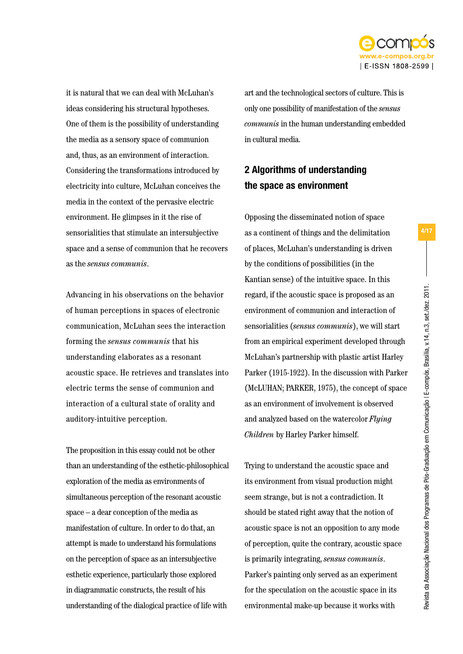

it is natural that we can deal with McLuhan's ideas considering his structural hypotheses. One of them is the possibility of understanding the media as a sensory space of communion and, thus, as an environment of interaction. Considering the transformations introduced by electricity into culture, McLuhan conceives the media in the context of the pervasive electric environment. He glimpses in it the rise of sensorialities that stimulate an intersubjective space and a sense of communion that he recovers as the *sensus communis*.

Advancing in his observations on the behavior of human perceptions in spaces of electronic communication, McLuhan sees the interaction forming the *sensus communis* that his understanding elaborates as a resonant acoustic space. He retrieves and translates into electric terms the sense of communion and interaction of a cultural state of orality and auditory-intuitive perception.

The proposition in this essay could not be other than an understanding of the esthetic-philosophical exploration of the media as environments of simultaneous perception of the resonant acoustic space – a dear conception of the media as manifestation of culture. In order to do that, an attempt is made to understand his formulations on the perception of space as an intersubjective esthetic experience, particularly those explored in diagrammatic constructs, the result of his understanding of the dialogical practice of life with

art and the technological sectors of culture. This is only one possibility of manifestation of the *sensus communis* in the human understanding embedded in cultural media.

# 2 Algorithms of understanding the space as environment

Opposing the disseminated notion of space as a continent of things and the delimitation of places, McLuhan's understanding is driven by the conditions of possibilities (in the Kantian sense) of the intuitive space. In this regard, if the acoustic space is proposed as an environment of communion and interaction of sensorialities (*sensus communis*), we will start from an empirical experiment developed through McLuhan's partnership with plastic artist Harley Parker (1915-1922). In the discussion with Parker (McLUHAN; PARKER, 1975), the concept of space as an environment of involvement is observed and analyzed based on the watercolor *Flying Children* by Harley Parker himself.

Trying to understand the acoustic space and its environment from visual production might seem strange, but is not a contradiction. It should be stated right away that the notion of acoustic space is not an opposition to any mode of perception, quite the contrary, acoustic space is primarily integrating, *sensus communis*. Parker's painting only served as an experiment for the speculation on the acoustic space in its environmental make-up because it works with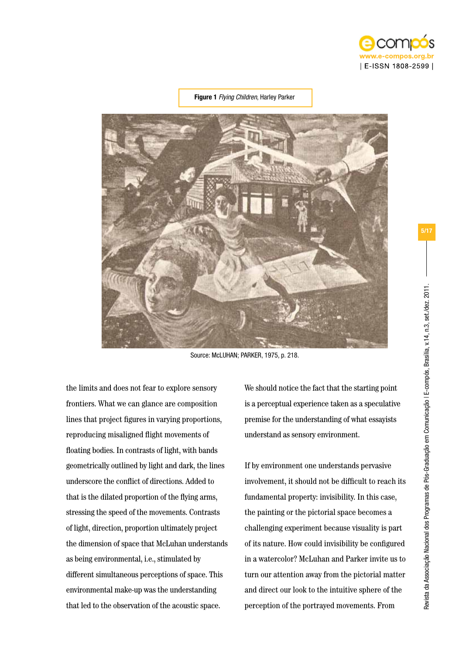

#### Figure 1 *Flying Children*, Harley Parker



Source: McLUHAN; PARKER, 1975, p. 218.

the limits and does not fear to explore sensory frontiers. What we can glance are composition lines that project figures in varying proportions, reproducing misaligned flight movements of floating bodies. In contrasts of light, with bands geometrically outlined by light and dark, the lines underscore the conflict of directions. Added to that is the dilated proportion of the flying arms, stressing the speed of the movements. Contrasts of light, direction, proportion ultimately project the dimension of space that McLuhan understands as being environmental, i.e., stimulated by different simultaneous perceptions of space. This environmental make-up was the understanding that led to the observation of the acoustic space.

We should notice the fact that the starting point is a perceptual experience taken as a speculative premise for the understanding of what essayists understand as sensory environment.

If by environment one understands pervasive involvement, it should not be difficult to reach its fundamental property: invisibility. In this case, the painting or the pictorial space becomes a challenging experiment because visuality is part of its nature. How could invisibility be configured in a watercolor? McLuhan and Parker invite us to turn our attention away from the pictorial matter and direct our look to the intuitive sphere of the perception of the portrayed movements. From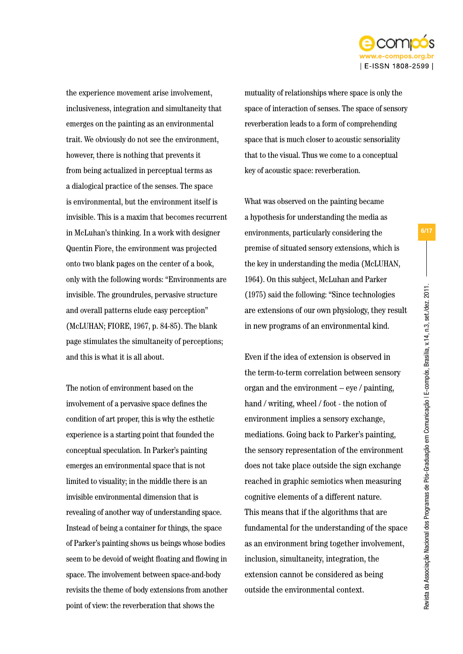

the experience movement arise involvement, inclusiveness, integration and simultaneity that emerges on the painting as an environmental trait. We obviously do not see the environment, however, there is nothing that prevents it from being actualized in perceptual terms as a dialogical practice of the senses. The space is environmental, but the environment itself is invisible. This is a maxim that becomes recurrent in McLuhan's thinking. In a work with designer Quentin Fiore, the environment was projected onto two blank pages on the center of a book, only with the following words: "Environments are invisible. The groundrules, pervasive structure and overall patterns elude easy perception" (McLUHAN; FIORE, 1967, p. 84-85). The blank page stimulates the simultaneity of perceptions; and this is what it is all about.

The notion of environment based on the involvement of a pervasive space defines the condition of art proper, this is why the esthetic experience is a starting point that founded the conceptual speculation. In Parker's painting emerges an environmental space that is not limited to visuality; in the middle there is an invisible environmental dimension that is revealing of another way of understanding space. Instead of being a container for things, the space of Parker's painting shows us beings whose bodies seem to be devoid of weight floating and flowing in space. The involvement between space-and-body revisits the theme of body extensions from another point of view: the reverberation that shows the

mutuality of relationships where space is only the space of interaction of senses. The space of sensory reverberation leads to a form of comprehending space that is much closer to acoustic sensoriality that to the visual. Thus we come to a conceptual key of acoustic space: reverberation.

What was observed on the painting became a hypothesis for understanding the media as environments, particularly considering the premise of situated sensory extensions, which is the key in understanding the media (McLUHAN, 1964). On this subject, McLuhan and Parker (1975) said the following: "Since technologies are extensions of our own physiology, they result in new programs of an environmental kind.

Even if the idea of extension is observed in the term-to-term correlation between sensory organ and the environment – eye / painting, hand / writing, wheel / foot - the notion of environment implies a sensory exchange, mediations. Going back to Parker's painting, the sensory representation of the environment does not take place outside the sign exchange reached in graphic semiotics when measuring cognitive elements of a different nature. This means that if the algorithms that are fundamental for the understanding of the space as an environment bring together involvement, inclusion, simultaneity, integration, the extension cannot be considered as being outside the environmental context.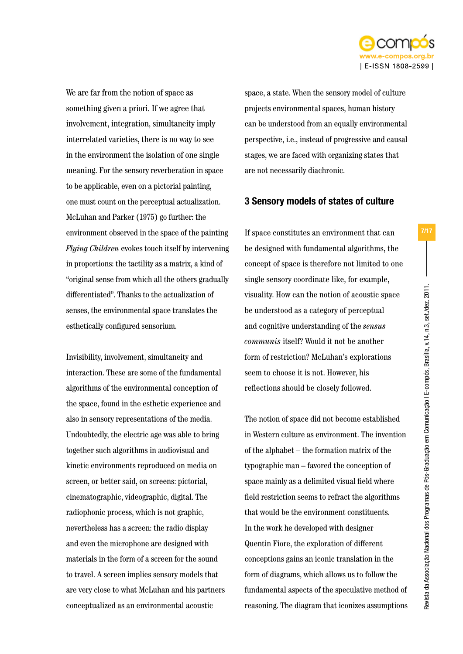

We are far from the notion of space as something given a priori. If we agree that involvement, integration, simultaneity imply interrelated varieties, there is no way to see in the environment the isolation of one single meaning. For the sensory reverberation in space to be applicable, even on a pictorial painting, one must count on the perceptual actualization. McLuhan and Parker (1975) go further: the environment observed in the space of the painting *Flying Children* evokes touch itself by intervening in proportions: the tactility as a matrix, a kind of "original sense from which all the others gradually differentiated". Thanks to the actualization of senses, the environmental space translates the esthetically configured sensorium.

Invisibility, involvement, simultaneity and interaction. These are some of the fundamental algorithms of the environmental conception of the space, found in the esthetic experience and also in sensory representations of the media. Undoubtedly, the electric age was able to bring together such algorithms in audiovisual and kinetic environments reproduced on media on screen, or better said, on screens: pictorial, cinematographic, videographic, digital. The radiophonic process, which is not graphic, nevertheless has a screen: the radio display and even the microphone are designed with materials in the form of a screen for the sound to travel. A screen implies sensory models that are very close to what McLuhan and his partners conceptualized as an environmental acoustic

space, a state. When the sensory model of culture projects environmental spaces, human history can be understood from an equally environmental perspective, i.e., instead of progressive and causal stages, we are faced with organizing states that are not necessarily diachronic.

## 3 Sensory models of states of culture

If space constitutes an environment that can be designed with fundamental algorithms, the concept of space is therefore not limited to one single sensory coordinate like, for example, visuality. How can the notion of acoustic space be understood as a category of perceptual and cognitive understanding of the *sensus communis* itself? Would it not be another form of restriction? McLuhan's explorations seem to choose it is not. However, his reflections should be closely followed.

The notion of space did not become established in Western culture as environment. The invention of the alphabet – the formation matrix of the typographic man – favored the conception of space mainly as a delimited visual field where field restriction seems to refract the algorithms that would be the environment constituents. In the work he developed with designer Quentin Fiore, the exploration of different conceptions gains an iconic translation in the form of diagrams, which allows us to follow the fundamental aspects of the speculative method of reasoning. The diagram that iconizes assumptions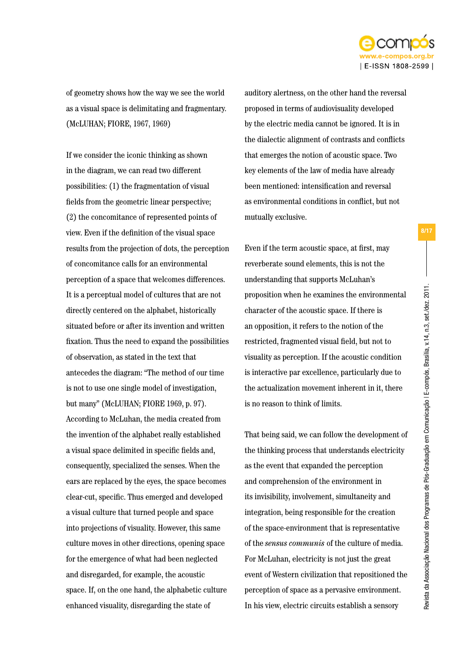

of geometry shows how the way we see the world as a visual space is delimitating and fragmentary. (McLUHAN; FIORE, 1967, 1969)

If we consider the iconic thinking as shown in the diagram, we can read two different possibilities: (1) the fragmentation of visual fields from the geometric linear perspective; (2) the concomitance of represented points of view. Even if the definition of the visual space results from the projection of dots, the perception of concomitance calls for an environmental perception of a space that welcomes differences. It is a perceptual model of cultures that are not directly centered on the alphabet, historically situated before or after its invention and written fixation. Thus the need to expand the possibilities of observation, as stated in the text that antecedes the diagram: "The method of our time is not to use one single model of investigation, but many" (McLUHAN; FIORE 1969, p. 97). According to McLuhan, the media created from the invention of the alphabet really established a visual space delimited in specific fields and, consequently, specialized the senses. When the ears are replaced by the eyes, the space becomes clear-cut, specific. Thus emerged and developed a visual culture that turned people and space into projections of visuality. However, this same culture moves in other directions, opening space for the emergence of what had been neglected and disregarded, for example, the acoustic space. If, on the one hand, the alphabetic culture enhanced visuality, disregarding the state of

auditory alertness, on the other hand the reversal proposed in terms of audiovisuality developed by the electric media cannot be ignored. It is in the dialectic alignment of contrasts and conflicts that emerges the notion of acoustic space. Two key elements of the law of media have already been mentioned: intensification and reversal as environmental conditions in conflict, but not mutually exclusive.

Even if the term acoustic space, at first, may reverberate sound elements, this is not the understanding that supports McLuhan's proposition when he examines the environmental character of the acoustic space. If there is an opposition, it refers to the notion of the restricted, fragmented visual field, but not to visuality as perception. If the acoustic condition is interactive par excellence, particularly due to the actualization movement inherent in it, there is no reason to think of limits.

That being said, we can follow the development of the thinking process that understands electricity as the event that expanded the perception and comprehension of the environment in its invisibility, involvement, simultaneity and integration, being responsible for the creation of the space-environment that is representative of the *sensus communis* of the culture of media. For McLuhan, electricity is not just the great event of Western civilization that repositioned the perception of space as a pervasive environment. In his view, electric circuits establish a sensory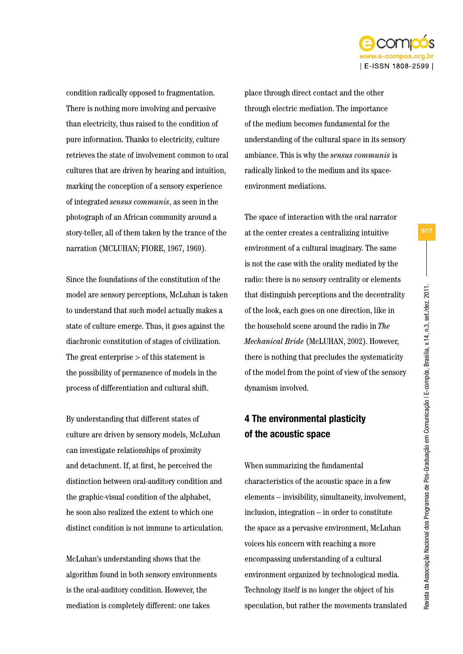

condition radically opposed to fragmentation. There is nothing more involving and pervasive than electricity, thus raised to the condition of pure information. Thanks to electricity, culture retrieves the state of involvement common to oral cultures that are driven by hearing and intuition, marking the conception of a sensory experience of integrated *sensus communis*, as seen in the photograph of an African community around a story-teller, all of them taken by the trance of the narration (MCLUHAN; FIORE, 1967, 1969).

Since the foundations of the constitution of the model are sensory perceptions, McLuhan is taken to understand that such model actually makes a state of culture emerge. Thus, it goes against the diachronic constitution of stages of civilization. The great enterprise > of this statement is the possibility of permanence of models in the process of differentiation and cultural shift.

By understanding that different states of culture are driven by sensory models, McLuhan can investigate relationships of proximity and detachment. If, at first, he perceived the distinction between oral-auditory condition and the graphic-visual condition of the alphabet, he soon also realized the extent to which one distinct condition is not immune to articulation.

McLuhan's understanding shows that the algorithm found in both sensory environments is the oral-auditory condition. However, the mediation is completely different: one takes

place through direct contact and the other through electric mediation. The importance of the medium becomes fundamental for the understanding of the cultural space in its sensory ambiance. This is why the *sensus communis* is radically linked to the medium and its spaceenvironment mediations.

The space of interaction with the oral narrator at the center creates a centralizing intuitive environment of a cultural imaginary. The same is not the case with the orality mediated by the radio: there is no sensory centrality or elements that distinguish perceptions and the decentrality of the look, each goes on one direction, like in the household scene around the radio in *The Mechanical Bride* (McLUHAN, 2002). However, there is nothing that precludes the systematicity of the model from the point of view of the sensory dynamism involved.

# 4 The environmental plasticity of the acoustic space

When summarizing the fundamental characteristics of the acoustic space in a few elements – invisibility, simultaneity, involvement, inclusion, integration – in order to constitute the space as a pervasive environment, McLuhan voices his concern with reaching a more encompassing understanding of a cultural environment organized by technological media. Technology itself is no longer the object of his speculation, but rather the movements translated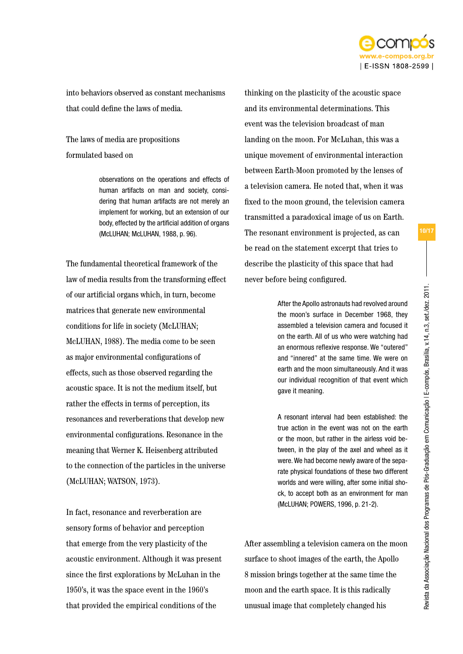

into behaviors observed as constant mechanisms that could define the laws of media.

The laws of media are propositions formulated based on

> observations on the operations and effects of human artifacts on man and society, considering that human artifacts are not merely an implement for working, but an extension of our body, effected by the artificial addition of organs (McLUHAN; McLUHAN, 1988, p. 96).

The fundamental theoretical framework of the law of media results from the transforming effect of our artificial organs which, in turn, become matrices that generate new environmental conditions for life in society (McLUHAN; McLUHAN, 1988). The media come to be seen as major environmental configurations of effects, such as those observed regarding the acoustic space. It is not the medium itself, but rather the effects in terms of perception, its resonances and reverberations that develop new environmental configurations. Resonance in the meaning that Werner K. Heisenberg attributed to the connection of the particles in the universe (McLUHAN; WATSON, 1973).

In fact, resonance and reverberation are sensory forms of behavior and perception that emerge from the very plasticity of the acoustic environment. Although it was present since the first explorations by McLuhan in the 1950's, it was the space event in the 1960's that provided the empirical conditions of the

thinking on the plasticity of the acoustic space and its environmental determinations. This event was the television broadcast of man landing on the moon. For McLuhan, this was a unique movement of environmental interaction between Earth-Moon promoted by the lenses of a television camera. He noted that, when it was fixed to the moon ground, the television camera transmitted a paradoxical image of us on Earth. The resonant environment is projected, as can be read on the statement excerpt that tries to describe the plasticity of this space that had never before being configured.

> After the Apollo astronauts had revolved around the moon's surface in December 1968, they assembled a television camera and focused it on the earth. All of us who were watching had an enormous reflexive response. We "outered" and "innered" at the same time. We were on earth and the moon simultaneously. And it was our individual recognition of that event which gave it meaning.

> A resonant interval had been established: the true action in the event was not on the earth or the moon, but rather in the airless void between, in the play of the axel and wheel as it were. We had become newly aware of the separate physical foundations of these two different worlds and were willing, after some initial shock, to accept both as an environment for man (McLUHAN; POWERS, 1996, p. 21-2).

After assembling a television camera on the moon surface to shoot images of the earth, the Apollo 8 mission brings together at the same time the moon and the earth space. It is this radically unusual image that completely changed his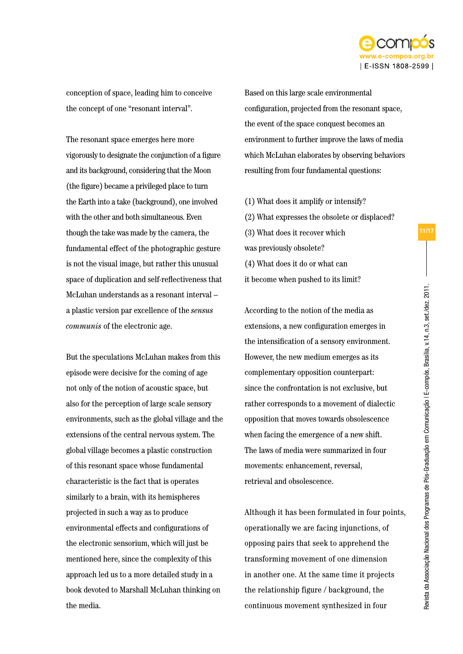

conception of space, leading him to conceive the concept of one "resonant interval".

The resonant space emerges here more vigorously to designate the conjunction of a figure and its background, considering that the Moon (the figure) became a privileged place to turn the Earth into a take (background), one involved with the other and both simultaneous. Even though the take was made by the camera, the fundamental effect of the photographic gesture is not the visual image, but rather this unusual space of duplication and self-reflectiveness that McLuhan understands as a resonant interval – a plastic version par excellence of the *sensus communis* of the electronic age.

But the speculations McLuhan makes from this episode were decisive for the coming of age not only of the notion of acoustic space, but also for the perception of large scale sensory environments, such as the global village and the extensions of the central nervous system. The global village becomes a plastic construction of this resonant space whose fundamental characteristic is the fact that is operates similarly to a brain, with its hemispheres projected in such a way as to produce environmental effects and configurations of the electronic sensorium, which will just be mentioned here, since the complexity of this approach led us to a more detailed study in a book devoted to Marshall McLuhan thinking on the media.

Based on this large scale environmental configuration, projected from the resonant space, the event of the space conquest becomes an environment to further improve the laws of media which McLuhan elaborates by observing behaviors resulting from four fundamental questions:

- (1) What does it amplify or intensify?
- (2) What expresses the obsolete or displaced?
- (3) What does it recover which was previously obsolete?
- (4) What does it do or what can
- it become when pushed to its limit?

According to the notion of the media as extensions, a new configuration emerges in the intensification of a sensory environment. However, the new medium emerges as its complementary opposition counterpart: since the confrontation is not exclusive, but rather corresponds to a movement of dialectic opposition that moves towards obsolescence when facing the emergence of a new shift. The laws of media were summarized in four movements: enhancement, reversal, retrieval and obsolescence.

Although it has been formulated in four points, operationally we are facing injunctions, of opposing pairs that seek to apprehend the transforming movement of one dimension in another one. At the same time it projects the relationship figure / background, the continuous movement synthesized in four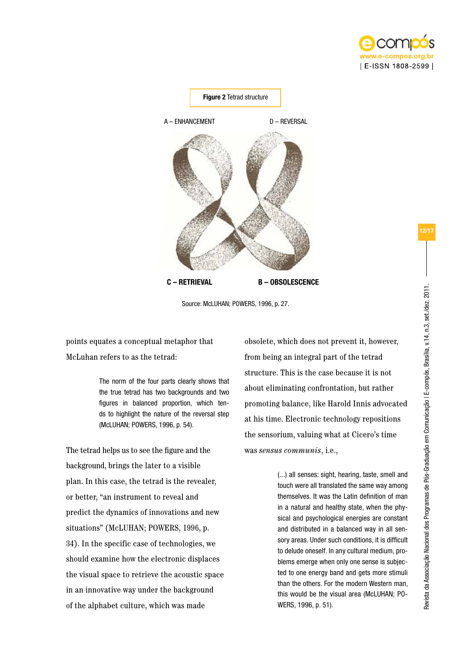



Source: McLUHAN; POWERS, 1996, p. 27.

points equates a conceptual metaphor that McLuhan refers to as the tetrad:

> The norm of the four parts clearly shows that the true tetrad has two backgrounds and two figures in balanced proportion, which tends to highlight the nature of the reversal step (McLUHAN; POWERS, 1996, p. 54).

The tetrad helps us to see the figure and the background, brings the later to a visible plan. In this case, the tetrad is the revealer, or better, "an instrument to reveal and predict the dynamics of innovations and new situations" (McLUHAN; POWERS, 1996, p. 34). In the specific case of technologies, we should examine how the electronic displaces the visual space to retrieve the acoustic space in an innovative way under the background of the alphabet culture, which was made

obsolete, which does not prevent it, however, from being an integral part of the tetrad structure. This is the case because it is not about eliminating confrontation, but rather promoting balance, like Harold Innis advocated at his time. Electronic technology repositions the sensorium, valuing what at Cicero's time was *sensus communis*, i.e.,

> (...) all senses: sight, hearing, taste, smell and touch were all translated the same way among themselves. It was the Latin definition of man in a natural and healthy state, when the physical and psychological energies are constant and distributed in a balanced way in all sensory areas. Under such conditions, it is difficult to delude oneself. In any cultural medium, problems emerge when only one sense is subjected to one energy band and gets more stimuli than the others. For the modern Western man, this would be the visual area (McLUHAN; PO-WERS, 1996, p. 51).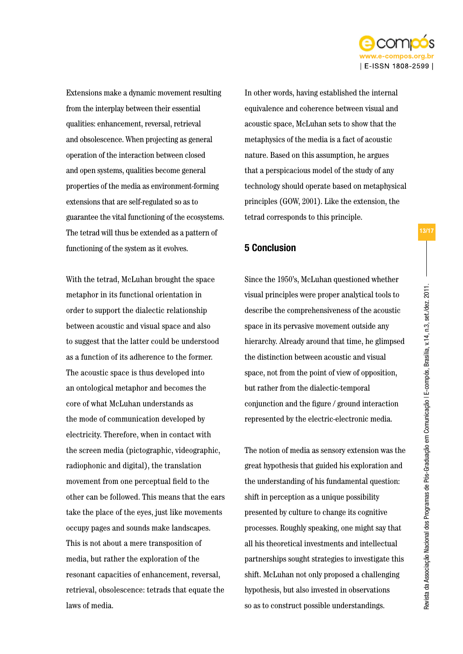

Extensions make a dynamic movement resulting from the interplay between their essential qualities: enhancement, reversal, retrieval and obsolescence. When projecting as general operation of the interaction between closed and open systems, qualities become general properties of the media as environment-forming extensions that are self-regulated so as to guarantee the vital functioning of the ecosystems. The tetrad will thus be extended as a pattern of functioning of the system as it evolves.

With the tetrad, McLuhan brought the space metaphor in its functional orientation in order to support the dialectic relationship between acoustic and visual space and also to suggest that the latter could be understood as a function of its adherence to the former. The acoustic space is thus developed into an ontological metaphor and becomes the core of what McLuhan understands as the mode of communication developed by electricity. Therefore, when in contact with the screen media (pictographic, videographic, radiophonic and digital), the translation movement from one perceptual field to the other can be followed. This means that the ears take the place of the eyes, just like movements occupy pages and sounds make landscapes. This is not about a mere transposition of media, but rather the exploration of the resonant capacities of enhancement, reversal, retrieval, obsolescence: tetrads that equate the laws of media.

In other words, having established the internal equivalence and coherence between visual and acoustic space, McLuhan sets to show that the metaphysics of the media is a fact of acoustic nature. Based on this assumption, he argues that a perspicacious model of the study of any technology should operate based on metaphysical principles (GOW, 2001). Like the extension, the tetrad corresponds to this principle.

## 5 Conclusion

Since the 1950's, McLuhan questioned whether visual principles were proper analytical tools to describe the comprehensiveness of the acoustic space in its pervasive movement outside any hierarchy. Already around that time, he glimpsed the distinction between acoustic and visual space, not from the point of view of opposition, but rather from the dialectic-temporal conjunction and the figure / ground interaction represented by the electric-electronic media.

The notion of media as sensory extension was the great hypothesis that guided his exploration and the understanding of his fundamental question: shift in perception as a unique possibility presented by culture to change its cognitive processes. Roughly speaking, one might say that all his theoretical investments and intellectual partnerships sought strategies to investigate this shift. McLuhan not only proposed a challenging hypothesis, but also invested in observations so as to construct possible understandings.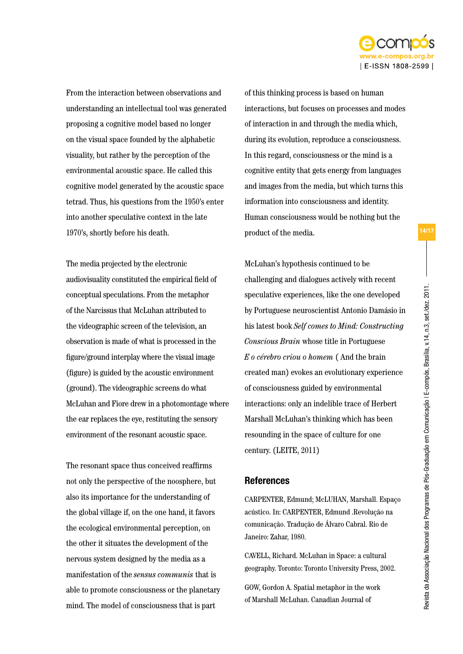

From the interaction between observations and understanding an intellectual tool was generated proposing a cognitive model based no longer on the visual space founded by the alphabetic visuality, but rather by the perception of the environmental acoustic space. He called this cognitive model generated by the acoustic space tetrad. Thus, his questions from the 1950's enter into another speculative context in the late 1970's, shortly before his death.

The media projected by the electronic audiovisuality constituted the empirical field of conceptual speculations. From the metaphor of the Narcissus that McLuhan attributed to the videographic screen of the television, an observation is made of what is processed in the figure/ground interplay where the visual image (figure) is guided by the acoustic environment (ground). The videographic screens do what McLuhan and Fiore drew in a photomontage where the ear replaces the eye, restituting the sensory environment of the resonant acoustic space.

The resonant space thus conceived reaffirms not only the perspective of the noosphere, but also its importance for the understanding of the global village if, on the one hand, it favors the ecological environmental perception, on the other it situates the development of the nervous system designed by the media as a manifestation of the *sensus communis* that is able to promote consciousness or the planetary mind. The model of consciousness that is part

of this thinking process is based on human interactions, but focuses on processes and modes of interaction in and through the media which, during its evolution, reproduce a consciousness. In this regard, consciousness or the mind is a cognitive entity that gets energy from languages and images from the media, but which turns this information into consciousness and identity. Human consciousness would be nothing but the product of the media.

McLuhan's hypothesis continued to be challenging and dialogues actively with recent speculative experiences, like the one developed by Portuguese neuroscientist Antonio Damásio in his latest book *Self comes to Mind: Constructing Conscious Brain* whose title in Portuguese *E o cérebro criou o homem* ( And the brain created man) evokes an evolutionary experience of consciousness guided by environmental interactions: only an indelible trace of Herbert Marshall McLuhan's thinking which has been resounding in the space of culture for one century. (LEITE, 2011)

## **References**

CARPENTER, Edmund; McLUHAN, Marshall. Espaço acústico. In: CARPENTER, Edmund .Revolução na comunicação. Tradução de Álvaro Cabral. Rio de Janeiro: Zahar, 1980.

CAVELL, Richard. McLuhan in Space: a cultural geography. Toronto: Toronto University Press, 2002.

GOW, Gordon A. Spatial metaphor in the work of Marshall McLuhan. Canadian Journal of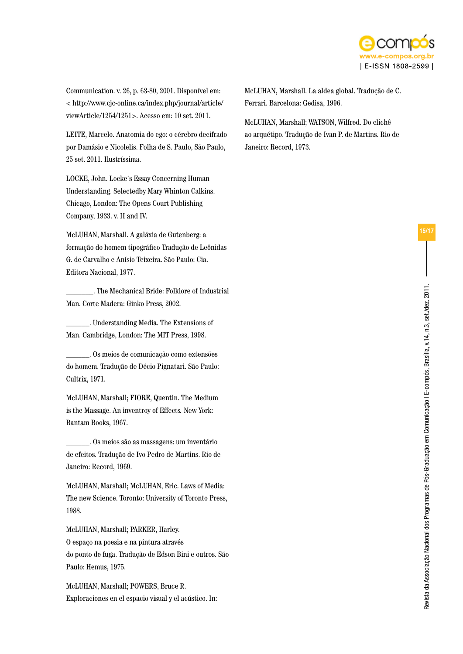

Communication. v. 26, p. 63-80, 2001. Disponível em: < http://www.cjc-online.ca/index.php/journal/article/ viewArticle/1254/1251>. Acesso em: 10 set. 2011.

LEITE, Marcelo. Anatomia do ego: o cérebro decifrado por Damásio e Nicolelis. Folha de S. Paulo, São Paulo, 25 set. 2011. Ilustríssima.

LOCKE, John. Locke´s Essay Concerning Human Understanding*.* Selectedby Mary Whinton Calkins. Chicago, London: The Opens Court Publishing Company, 1933. v. II and IV.

McLUHAN, Marshall. A galáxia de Gutenberg: a formação do homem tipográfico Tradução de Leônidas G. de Carvalho e Anísio Teixeira. São Paulo: Cia. Editora Nacional, 1977.

\_\_\_\_\_\_\_. The Mechanical Bride: Folklore of Industrial Man. Corte Madera: Ginko Press, 2002.

\_\_\_\_\_\_. Understanding Media. The Extensions of Man*.* Cambridge, London: The MIT Press, 1998.

\_\_\_\_\_\_. Os meios de comunicação como extensões do homem. Tradução de Décio Pignatari. São Paulo: Cultrix, 1971.

McLUHAN, Marshall; FIORE, Quentin. The Medium is the Massage. An inventroy of Effects*.* New York: Bantam Books, 1967.

\_\_\_\_\_\_. Os meios são as massagens: um inventário de efeitos. Tradução de Ivo Pedro de Martins. Rio de Janeiro: Record, 1969.

McLUHAN, Marshall; McLUHAN, Eric. Laws of Media: The new Science. Toronto: University of Toronto Press, 1988.

McLUHAN, Marshall; PARKER, Harley. O espaço na poesia e na pintura através do ponto de fuga. Tradução de Edson Bini e outros. São Paulo: Hemus, 1975.

McLUHAN, Marshall; POWERS, Bruce R. Exploraciones en el espacio visual y el acústico. In: McLUHAN, Marshall. La aldea global. Tradução de C. Ferrari. Barcelona: Gedisa, 1996.

McLUHAN, Marshall; WATSON, Wilfred. Do clichê ao arquétipo. Tradução de Ivan P. de Martins. Rio de Janeiro: Record, 1973.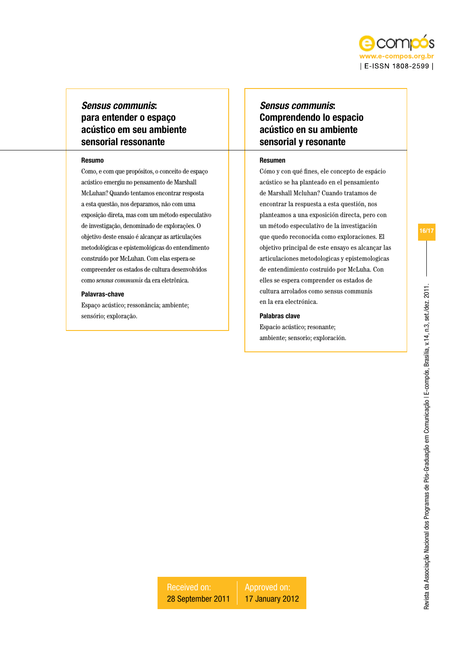

## *Sensus communis*: para entender o espaço acústico em seu ambiente sensorial ressonante

#### Resumo

Como, e com que propósitos, o conceito de espaço acústico emergiu no pensamento de Marshall McLuhan? Quando tentamos encontrar resposta a esta questão, nos deparamos, não com uma exposição direta, mas com um método especulativo de investigação, denominado de explorações. O objetivo deste ensaio é alcançar as articulações metodológicas e epistemológicas do entendimento construído por McLuhan. Com elas espera-se compreender os estados de cultura desenvolvidos como *sensus communis* da era eletrônica.

#### Palavras-chave

Espaço acústico; ressonância; ambiente; sensório; exploração.

# *Sensus communis*: Comprendendo lo espacio acústico en su ambiente sensorial y resonante

#### Resumen

Cómo y con qué fines, ele concepto de espácio acústico se ha planteado en el pensamiento de Marshall Mcluhan? Cuando tratamos de encontrar la respuesta a esta questión, nos planteamos a una exposición directa, pero con un método especulativo de la investigación que quedo reconocida como exploraciones. El objetivo principal de este ensayo es alcançar las articulaciones metodologicas y epistemologicas de entendimiento costruido por McLuha. Con elles se espera comprender os estados de cultura arrolados como sensus communis en la era electrónica.

#### Palabras clave

Espacio acústico; resonante; ambiente; sensorio; exploración. Revista da Associação Nacional dos Programas de Pós-Graduação em Comunicação | E-compós, Brasília, v.14, n.3, set./dez. 2011.

Revista da Associação Nacional dos Programas de Pós-Graduação em Comunicação I E-compós, Brasília, v.14, n.3, set/dez. 2011.

16/17

Received on: 28 September 2011 Approved on: 17 January 2012